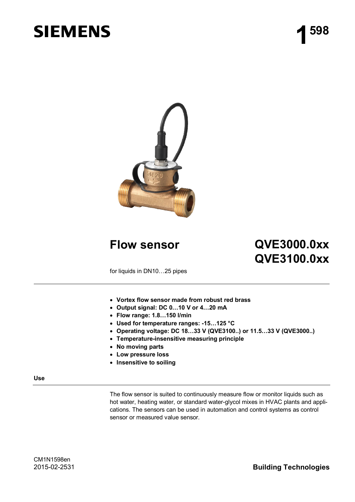# **SIEMENS**



# **Flow sensor QVE3000.0xx QVE3100.0xx**

for liquids in DN10...25 pipes

- x **Vortex flow sensor made from robust red brass**
- x **Output signal: DC 0…10 V or 4…20 mA**
- x **Flow range: 1.8…150 l/min**
- x **Used for temperature ranges: -15…125 °C**
- x **Operating voltage: DC 18…33 V (QVE3100..) or 11.5…33 V (QVE3000..)**
- x **Temperature-insensitive measuring principle**
- x **No moving parts**
- x **Low pressure loss**
- x **Insensitive to soiling**

#### **Use**

The flow sensor is suited to continuously measure flow or monitor liquids such as hot water, heating water, or standard water-glycol mixes in HVAC plants and applications. The sensors can be used in automation and control systems as control sensor or measured value sensor.

2015-02-2531 **Building Technologies**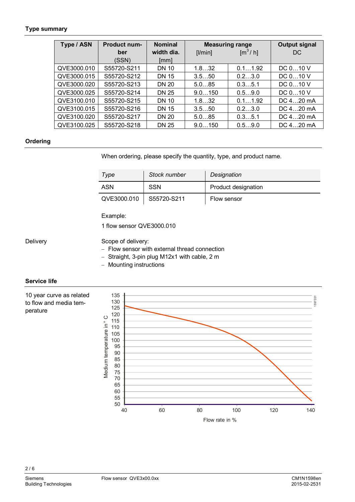### <span id="page-1-0"></span>**Type summary**

| Type / ASN  | <b>Product num-</b> | <b>Nominal</b>     | <b>Measuring range</b> |                                    | <b>Output signal</b> |
|-------------|---------------------|--------------------|------------------------|------------------------------------|----------------------|
|             | ber<br>(SSN)        | width dia.<br>[mm] | [ /min]                | $\left[\text{m}^3/\text{h}\right]$ | DC.                  |
| QVE3000.010 | S55720-S211         | <b>DN 10</b>       | 1.832                  | 0.11.92                            | DC $010$ V           |
| QVE3000.015 | S55720-S212         | <b>DN 15</b>       | 3.550                  | 0.23.0                             | DC 010 V             |
| QVE3000.020 | S55720-S213         | <b>DN 20</b>       | 5.085                  | 0.35.1                             | DC 010 V             |
| QVE3000.025 | S55720-S214         | <b>DN 25</b>       | 9.0150                 | 0.59.0                             | DC $010$ V           |
| QVE3100.010 | S55720-S215         | <b>DN 10</b>       | 1.832                  | 0.11.92                            | DC 420 mA            |
| QVE3100.015 | S55720-S216         | <b>DN 15</b>       | 3.550                  | 0.23.0                             | DC 420 mA            |
| QVE3100.020 | S55720-S217         | <b>DN 20</b>       | 5.085                  | 0.35.1                             | DC $420$ mA          |
| QVE3100.025 | S55720-S218         | <b>DN 25</b>       | 9.0150                 | 0.59.0                             | DC 420 mA            |

# **Ordering**

When ordering, please specify the quantity, type, and product name.

| Type        | Stock number | Designation         |
|-------------|--------------|---------------------|
| ASN         | <b>SSN</b>   | Product designation |
| QVE3000.010 | S55720-S211  | Flow sensor         |

Example:

1 flow sensor QVE3000.010

**Delivery** 

# Scope of delivery:

- Flow sensor with external thread connection
- Straight, 3-pin plug M12x1 with cable, 2 m
- Mounting instructions

# **Service life**

10 year curve as related to flow and media temperature



 $2/6$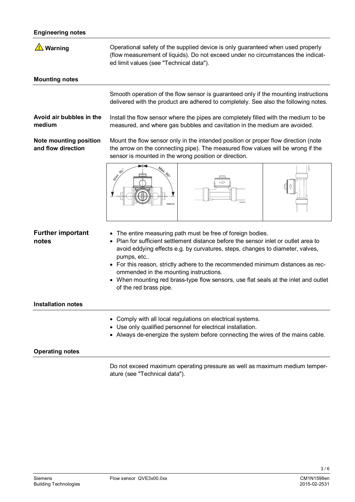# **Engineering notes**

| Warning                                             | Operational safety of the supplied device is only guaranteed when used properly<br>(flow measurement of liquids). Do not exceed under no circumstances the indicat-<br>ed limit values (see "Technical data").                                                                                                                                                                                                                                                                            |  |  |  |
|-----------------------------------------------------|-------------------------------------------------------------------------------------------------------------------------------------------------------------------------------------------------------------------------------------------------------------------------------------------------------------------------------------------------------------------------------------------------------------------------------------------------------------------------------------------|--|--|--|
| <b>Mounting notes</b>                               |                                                                                                                                                                                                                                                                                                                                                                                                                                                                                           |  |  |  |
|                                                     | Smooth operation of the flow sensor is guaranteed only if the mounting instructions<br>delivered with the product are adhered to completely. See also the following notes.                                                                                                                                                                                                                                                                                                                |  |  |  |
| Avoid air bubbles in the<br>medium                  | Install the flow sensor where the pipes are completely filled with the medium to be<br>measured, and where gas bubbles and cavitation in the medium are avoided.                                                                                                                                                                                                                                                                                                                          |  |  |  |
| <b>Note mounting position</b><br>and flow direction | Mount the flow sensor only in the intended position or proper flow direction (note<br>the arrow on the connecting pipe). The measured flow values will be wrong if the<br>sensor is mounted in the wrong position or direction.                                                                                                                                                                                                                                                           |  |  |  |
|                                                     | <b>A</b> RAT<br>598702                                                                                                                                                                                                                                                                                                                                                                                                                                                                    |  |  |  |
| <b>Further important</b><br>notes                   | The entire measuring path must be free of foreign bodies.<br>Plan for sufficient settlement distance before the sensor inlet or outlet area to<br>avoid eddying effects e.g. by curvatures, steps, changes to diameter, valves,<br>pumps, etc<br>• For this reason, strictly adhere to the recommended minimum distances as rec-<br>ommended in the mounting instructions.<br>When mounting red brass-type flow sensors, use flat seals at the inlet and outlet<br>of the red brass pipe. |  |  |  |
| <b>Installation notes</b>                           |                                                                                                                                                                                                                                                                                                                                                                                                                                                                                           |  |  |  |
|                                                     | Comply with all local regulations on electrical systems.<br>٠<br>Use only qualified personnel for electrical installation.<br>• Always de-energize the system before connecting the wires of the mains cable.                                                                                                                                                                                                                                                                             |  |  |  |
| <b>Operating notes</b>                              |                                                                                                                                                                                                                                                                                                                                                                                                                                                                                           |  |  |  |
|                                                     | Do not exceed maximum operating pressure as well as maximum medium temper-<br>ature (see "Technical data").                                                                                                                                                                                                                                                                                                                                                                               |  |  |  |

3 / 6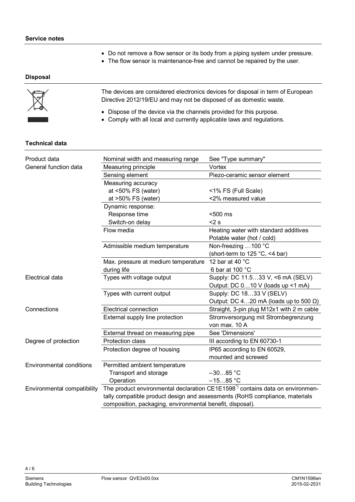- Do not remove a flow sensor or its body from a piping system under pressure.
- The flow sensor is maintenance-free and cannot be repaired by the user.

# **Disposal**

| $\mathbb{Z}$ | The devices are considered electronics devices for disposal in term of European<br>Directive 2012/19/EU and may not be disposed of as domestic waste. |
|--------------|-------------------------------------------------------------------------------------------------------------------------------------------------------|
|              | • Dispose of the device via the channels provided for this purpose.                                                                                   |

s provided for this purpose. • Comply with all local and currently applicable laws and regulations.

# **Technical data**

| Product data                    | Nominal width and measuring range                                                        | See "Type summary"                            |  |  |
|---------------------------------|------------------------------------------------------------------------------------------|-----------------------------------------------|--|--|
| General function data           | Measuring principle                                                                      | Vortex                                        |  |  |
|                                 | Sensing element                                                                          | Piezo-ceramic sensor element                  |  |  |
|                                 | Measuring accuracy                                                                       |                                               |  |  |
|                                 | at $<50\%$ FS (water)                                                                    | <1% FS (Full Scale)                           |  |  |
|                                 | at $>50\%$ FS (water)                                                                    | <2% measured value                            |  |  |
|                                 | Dynamic response:                                                                        |                                               |  |  |
|                                 | Response time                                                                            | <500 ms                                       |  |  |
|                                 | Switch-on delay                                                                          | $<$ 2 s                                       |  |  |
|                                 | Flow media                                                                               | Heating water with standard additives         |  |  |
|                                 |                                                                                          | Potable water (hot / cold)                    |  |  |
|                                 | Admissible medium temperature                                                            | Non-freezing 100 °C                           |  |  |
|                                 |                                                                                          | (short-term to 125 $^{\circ}$ C, <4 bar)      |  |  |
|                                 | Max. pressure at medium temperature                                                      | 12 bar at 40 $^{\circ}$ C                     |  |  |
|                                 | during life                                                                              | 6 bar at 100 °C                               |  |  |
| Electrical data                 | Types with voltage output                                                                | Supply: DC 11.533 V, <6 mA (SELV)             |  |  |
|                                 |                                                                                          | Output: DC 010 V (loads up <1 mA)             |  |  |
|                                 | Types with current output                                                                | Supply: DC 1833 V (SELV)                      |  |  |
|                                 |                                                                                          | Output: DC 420 mA (loads up to 500 $\Omega$ ) |  |  |
| Connections                     | <b>Electrical connection</b>                                                             | Straight, 3-pin plug M12x1 with 2 m cable     |  |  |
|                                 | External supply line protection                                                          | Stromversorgung mit Strombegrenzung           |  |  |
|                                 |                                                                                          | von max. 10 A                                 |  |  |
|                                 | External thread on measuring pipe                                                        | See 'Dimensions'                              |  |  |
| Degree of protection            | <b>Protection class</b>                                                                  | III according to EN 60730-1                   |  |  |
|                                 | Protection degree of housing                                                             | IP65 according to EN 60529,                   |  |  |
|                                 |                                                                                          | mounted and screwed                           |  |  |
| <b>Environmental conditions</b> | Permitted ambient temperature                                                            |                                               |  |  |
|                                 | Transport and storage                                                                    | $-3085 °C$                                    |  |  |
|                                 | Operation                                                                                | $-1585 °C$                                    |  |  |
| Environmental compatibility     | The product environmental declaration CE1E1598 <sup>*</sup> contains data on environmen- |                                               |  |  |
|                                 | tally compatible product design and assessments (RoHS compliance, materials              |                                               |  |  |
|                                 | composition, packaging, environmental benefit, disposal).                                |                                               |  |  |

 $4/6$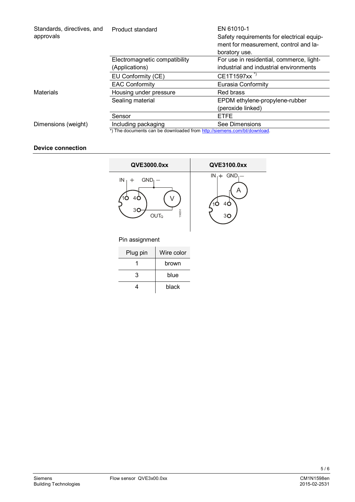| Standards, directives, and<br>approvals | EN 61010-1<br>Product standard<br>Safety requirements for electrical equip-<br>ment for measurement, control and la-<br>boratory use. |                                          |  |  |
|-----------------------------------------|---------------------------------------------------------------------------------------------------------------------------------------|------------------------------------------|--|--|
|                                         | Electromagnetic compatibility                                                                                                         | For use in residential, commerce, light- |  |  |
|                                         | (Applications)                                                                                                                        | industrial and industrial environments   |  |  |
|                                         | EU Conformity (CE)                                                                                                                    | CE1T1597xx <sup>"</sup>                  |  |  |
|                                         | <b>EAC Conformity</b>                                                                                                                 | Eurasia Conformity                       |  |  |
| Materials                               | Housing under pressure                                                                                                                | Red brass                                |  |  |
|                                         | Sealing material                                                                                                                      | EPDM ethylene-propylene-rubber           |  |  |
|                                         |                                                                                                                                       | (peroxide linked)                        |  |  |
|                                         | Sensor                                                                                                                                | <b>ETFE</b>                              |  |  |
| Dimensions (weight)                     | Including packaging                                                                                                                   | See Dimensions                           |  |  |
|                                         | *) The documents can be downloaded from http://siemens.com/bt/download.                                                               |                                          |  |  |

# **Device connection**



# Pin assignment

| Plug pin | Wire color |
|----------|------------|
|          | brown      |
| 3        | blue       |
|          | black      |